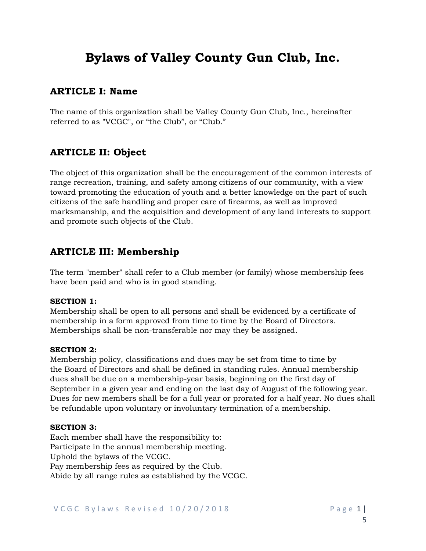# **Bylaws of Valley County Gun Club, Inc.**

### **ARTICLE I: Name**

The name of this organization shall be Valley County Gun Club, Inc., hereinafter referred to as "VCGC", or "the Club", or "Club."

# **ARTICLE II: Object**

The object of this organization shall be the encouragement of the common interests of range recreation, training, and safety among citizens of our community, with a view toward promoting the education of youth and a better knowledge on the part of such citizens of the safe handling and proper care of firearms, as well as improved marksmanship, and the acquisition and development of any land interests to support and promote such objects of the Club.

### **ARTICLE III: Membership**

The term "member" shall refer to a Club member (or family) whose membership fees have been paid and who is in good standing.

#### **SECTION 1:**

Membership shall be open to all persons and shall be evidenced by a certificate of membership in a form approved from time to time by the Board of Directors. Memberships shall be non-transferable nor may they be assigned.

#### **SECTION 2:**

Membership policy, classifications and dues may be set from time to time by the Board of Directors and shall be defined in standing rules. Annual membership dues shall be due on a membership-year basis, beginning on the first day of September in a given year and ending on the last day of August of the following year. Dues for new members shall be for a full year or prorated for a half year. No dues shall be refundable upon voluntary or involuntary termination of a membership.

#### **SECTION 3:**

Each member shall have the responsibility to: Participate in the annual membership meeting. Uphold the bylaws of the VCGC. Pay membership fees as required by the Club. Abide by all range rules as established by the VCGC.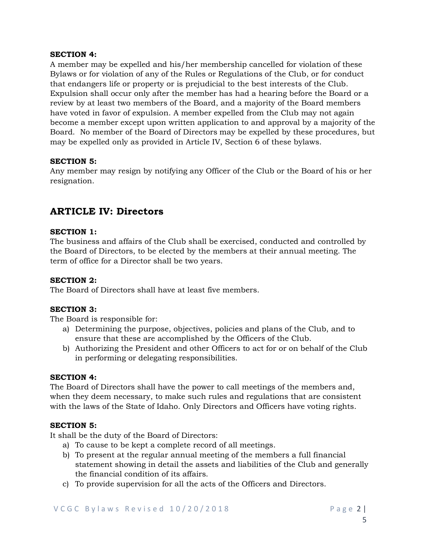#### **SECTION 4:**

A member may be expelled and his/her membership cancelled for violation of these Bylaws or for violation of any of the Rules or Regulations of the Club, or for conduct that endangers life or property or is prejudicial to the best interests of the Club. Expulsion shall occur only after the member has had a hearing before the Board or a review by at least two members of the Board, and a majority of the Board members have voted in favor of expulsion. A member expelled from the Club may not again become a member except upon written application to and approval by a majority of the Board. No member of the Board of Directors may be expelled by these procedures, but may be expelled only as provided in Article IV, Section 6 of these bylaws.

#### **SECTION 5:**

Any member may resign by notifying any Officer of the Club or the Board of his or her resignation.

### **ARTICLE IV: Directors**

#### **SECTION 1:**

The business and affairs of the Club shall be exercised, conducted and controlled by the Board of Directors, to be elected by the members at their annual meeting. The term of office for a Director shall be two years.

#### **SECTION 2:**

The Board of Directors shall have at least five members.

#### **SECTION 3:**

The Board is responsible for:

- a) Determining the purpose, objectives, policies and plans of the Club, and to ensure that these are accomplished by the Officers of the Club.
- b) Authorizing the President and other Officers to act for or on behalf of the Club in performing or delegating responsibilities.

#### **SECTION 4:**

The Board of Directors shall have the power to call meetings of the members and, when they deem necessary, to make such rules and regulations that are consistent with the laws of the State of Idaho. Only Directors and Officers have voting rights.

#### **SECTION 5:**

It shall be the duty of the Board of Directors:

- a) To cause to be kept a complete record of all meetings.
- b) To present at the regular annual meeting of the members a full financial statement showing in detail the assets and liabilities of the Club and generally the financial condition of its affairs.
- c) To provide supervision for all the acts of the Officers and Directors.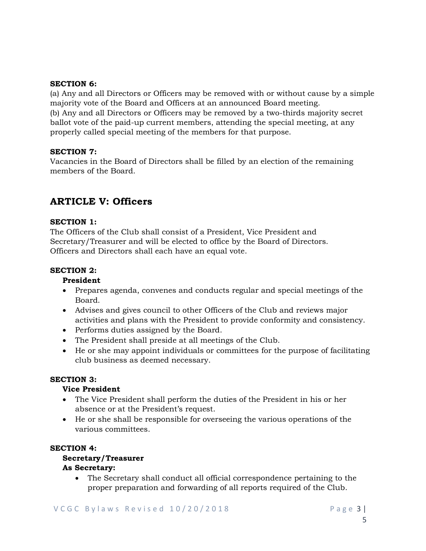#### **SECTION 6:**

(a) Any and all Directors or Officers may be removed with or without cause by a simple majority vote of the Board and Officers at an announced Board meeting. (b) Any and all Directors or Officers may be removed by a two-thirds majority secret ballot vote of the paid-up current members, attending the special meeting, at any properly called special meeting of the members for that purpose.

#### **SECTION 7:**

Vacancies in the Board of Directors shall be filled by an election of the remaining members of the Board.

### **ARTICLE V: Officers**

#### **SECTION 1:**

The Officers of the Club shall consist of a President, Vice President and Secretary/Treasurer and will be elected to office by the Board of Directors. Officers and Directors shall each have an equal vote.

#### **SECTION 2:**

#### **President**

- · Prepares agenda, convenes and conducts regular and special meetings of the Board.
- · Advises and gives council to other Officers of the Club and reviews major activities and plans with the President to provide conformity and consistency.
- · Performs duties assigned by the Board.
- · The President shall preside at all meetings of the Club.
- · He or she may appoint individuals or committees for the purpose of facilitating club business as deemed necessary.

#### **SECTION 3:**

#### **Vice President**

- · The Vice President shall perform the duties of the President in his or her absence or at the President's request.
- · He or she shall be responsible for overseeing the various operations of the various committees.

#### **SECTION 4:**

#### **Secretary/Treasurer As Secretary:**

· The Secretary shall conduct all official correspondence pertaining to the proper preparation and forwarding of all reports required of the Club.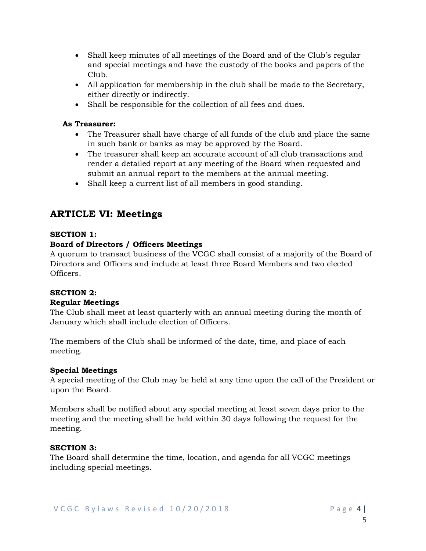- · Shall keep minutes of all meetings of the Board and of the Club's regular and special meetings and have the custody of the books and papers of the Club.
- · All application for membership in the club shall be made to the Secretary, either directly or indirectly.
- · Shall be responsible for the collection of all fees and dues.

### **As Treasurer:**

- · The Treasurer shall have charge of all funds of the club and place the same in such bank or banks as may be approved by the Board.
- · The treasurer shall keep an accurate account of all club transactions and render a detailed report at any meeting of the Board when requested and submit an annual report to the members at the annual meeting.
- · Shall keep a current list of all members in good standing.

### **ARTICLE VI: Meetings**

### **SECTION 1:**

### **Board of Directors / Officers Meetings**

A quorum to transact business of the VCGC shall consist of a majority of the Board of Directors and Officers and include at least three Board Members and two elected Officers.

### **SECTION 2:**

#### **Regular Meetings**

The Club shall meet at least quarterly with an annual meeting during the month of January which shall include election of Officers.

The members of the Club shall be informed of the date, time, and place of each meeting.

#### **Special Meetings**

A special meeting of the Club may be held at any time upon the call of the President or upon the Board.

Members shall be notified about any special meeting at least seven days prior to the meeting and the meeting shall be held within 30 days following the request for the meeting.

#### **SECTION 3:**

The Board shall determine the time, location, and agenda for all VCGC meetings including special meetings.